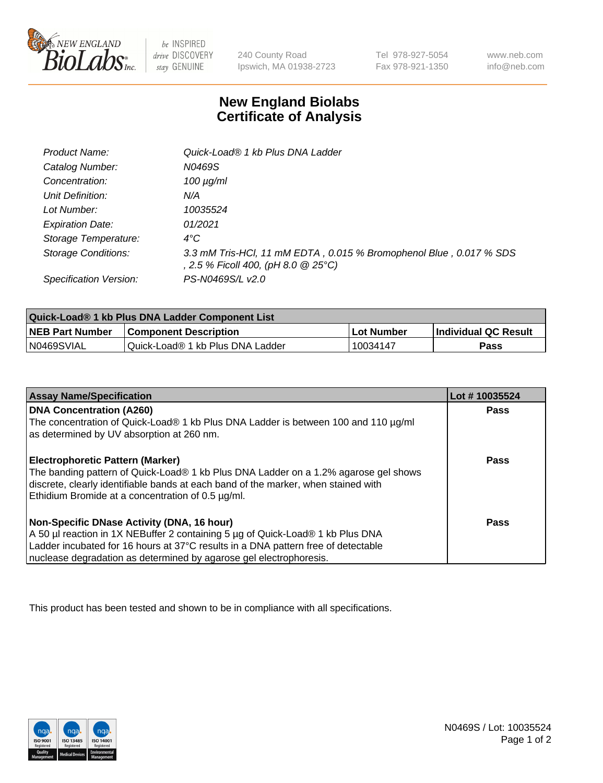

 $be$  INSPIRED drive DISCOVERY stay GENUINE

240 County Road Ipswich, MA 01938-2723 Tel 978-927-5054 Fax 978-921-1350 www.neb.com info@neb.com

## **New England Biolabs Certificate of Analysis**

| Product Name:              | Quick-Load® 1 kb Plus DNA Ladder                                                                          |
|----------------------------|-----------------------------------------------------------------------------------------------------------|
| Catalog Number:            | N0469S                                                                                                    |
| Concentration:             | $100 \mu g/ml$                                                                                            |
| Unit Definition:           | N/A                                                                                                       |
| Lot Number:                | 10035524                                                                                                  |
| <b>Expiration Date:</b>    | 01/2021                                                                                                   |
| Storage Temperature:       | $4^{\circ}C$                                                                                              |
| <b>Storage Conditions:</b> | 3.3 mM Tris-HCl, 11 mM EDTA, 0.015 % Bromophenol Blue, 0.017 % SDS<br>, 2.5 % Ficoll 400, (pH 8.0 @ 25°C) |
| Specification Version:     | PS-N0469S/L v2.0                                                                                          |

| Quick-Load® 1 kb Plus DNA Ladder Component List |                                  |            |                             |  |
|-------------------------------------------------|----------------------------------|------------|-----------------------------|--|
| <b>NEB Part Number</b>                          | <b>Component Description</b>     | Lot Number | <b>Individual QC Result</b> |  |
| N0469SVIAL                                      | Quick-Load® 1 kb Plus DNA Ladder | 10034147   | Pass                        |  |

| <b>Assay Name/Specification</b>                                                                                                         | Lot #10035524 |
|-----------------------------------------------------------------------------------------------------------------------------------------|---------------|
| <b>DNA Concentration (A260)</b>                                                                                                         | <b>Pass</b>   |
| The concentration of Quick-Load® 1 kb Plus DNA Ladder is between 100 and 110 µg/ml<br>as determined by UV absorption at 260 nm.         |               |
| <b>Electrophoretic Pattern (Marker)</b>                                                                                                 | <b>Pass</b>   |
| The banding pattern of Quick-Load® 1 kb Plus DNA Ladder on a 1.2% agarose gel shows                                                     |               |
| discrete, clearly identifiable bands at each band of the marker, when stained with<br>Ethidium Bromide at a concentration of 0.5 µg/ml. |               |
| Non-Specific DNase Activity (DNA, 16 hour)                                                                                              | Pass          |
| A 50 µl reaction in 1X NEBuffer 2 containing 5 µg of Quick-Load® 1 kb Plus DNA                                                          |               |
| Ladder incubated for 16 hours at 37°C results in a DNA pattern free of detectable                                                       |               |
| nuclease degradation as determined by agarose gel electrophoresis.                                                                      |               |

This product has been tested and shown to be in compliance with all specifications.